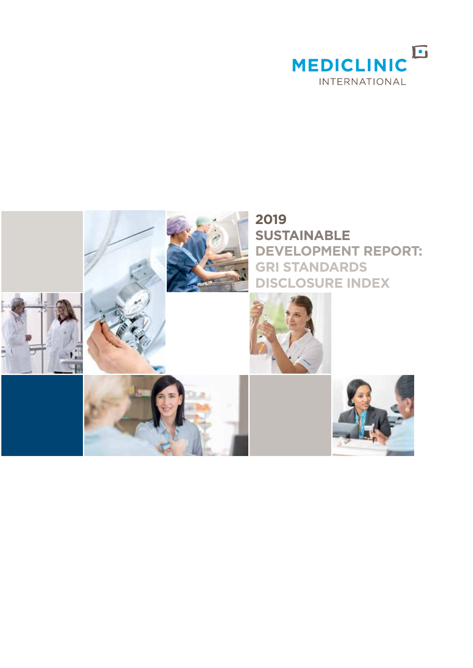

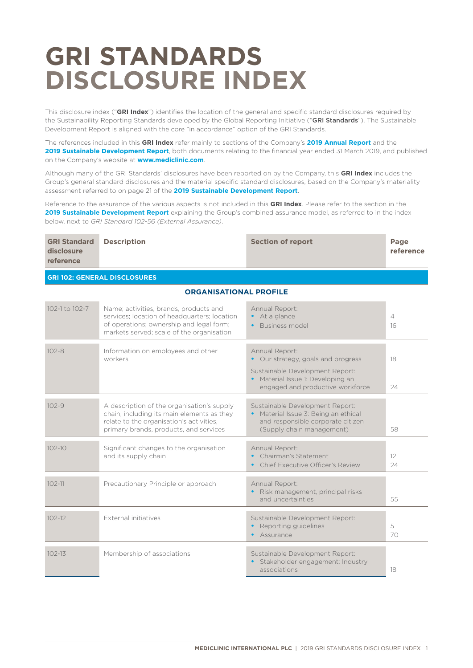# **GRI STANDARDS DISCLOSURE INDEX**

This disclosure index ("**GRI Index**") identifies the location of the general and specific standard disclosures required by the Sustainability Reporting Standards developed by the Global Reporting Initiative ("GRI Standards"). The Sustainable Development Report is aligned with the core "in accordance" option of the GRI Standards.

The references included in this **GRI Index** refer mainly to sections of the Company's **2019 Annual Report** and the **2019 Sustainable Development Report**, both documents relating to the financial year ended 31 March 2019, and published on the Company's website at **www.mediclinic.com**.

Although many of the GRI Standards' disclosures have been reported on by the Company, this **GRI Index** includes the Group's general standard disclosures and the material specific standard disclosures, based on the Company's materiality assessment referred to on page 21 of the **2019 Sustainable Development Report**.

Reference to the assurance of the various aspects is not included in this **GRI Index**. Please refer to the section in the **2019 Sustainable Development Report** explaining the Group's combined assurance model, as referred to in the index below, next to *GRI Standard 102-56 (External Assurance)*.

| <b>GRI Standard</b><br>disclosure<br>reference | <b>Description</b>                                                                                                                                                              | <b>Section of report</b>                                                                                                                                       | Page<br>reference |
|------------------------------------------------|---------------------------------------------------------------------------------------------------------------------------------------------------------------------------------|----------------------------------------------------------------------------------------------------------------------------------------------------------------|-------------------|
|                                                | <b>GRI 102: GENERAL DISCLOSURES</b>                                                                                                                                             |                                                                                                                                                                |                   |
|                                                | <b>ORGANISATIONAL PROFILE</b>                                                                                                                                                   |                                                                                                                                                                |                   |
| 102-1 to 102-7                                 | Name; activities, brands, products and<br>services; location of headquarters; location<br>of operations; ownership and legal form;<br>markets served; scale of the organisation | Annual Report:<br>• At a glance<br>Business model                                                                                                              | 4<br>16           |
| $102 - 8$                                      | Information on employees and other<br>workers                                                                                                                                   | Annual Report:<br>• Our strategy, goals and progress<br>Sustainable Development Report:<br>Material Issue 1: Developing an<br>engaged and productive workforce | 18<br>24          |
| $102 - 9$                                      | A description of the organisation's supply<br>chain, including its main elements as they<br>relate to the organisation's activities,<br>primary brands, products, and services  | Sustainable Development Report:<br>• Material Issue 3: Being an ethical<br>and responsible corporate citizen<br>(Supply chain management)                      | 58                |
| $102 - 10$                                     | Significant changes to the organisation<br>and its supply chain                                                                                                                 | Annual Report:<br>Chairman's Statement<br>Chief Executive Officer's Review                                                                                     | 12<br>24          |
| $102 - 11$                                     | Precautionary Principle or approach                                                                                                                                             | Annual Report:<br>· Risk management, principal risks<br>and uncertainties                                                                                      | 55                |
| $102 - 12$                                     | External initiatives                                                                                                                                                            | Sustainable Development Report:<br>Reporting quidelines<br>Assurance                                                                                           | 5<br>70           |
| $102 - 13$                                     | Membership of associations                                                                                                                                                      | Sustainable Development Report:<br>Stakeholder engagement: Industry<br>$\bullet$<br>associations                                                               | 18                |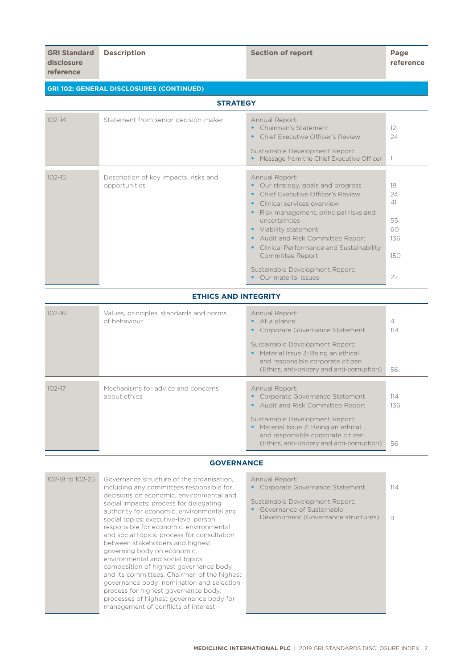| <b>GRI 102: GENERAL DISCLOSURES (CONTINUED)</b> |                                                         |                                                                                                                                                                                                                                                                                                                                                                    |                                                |  |
|-------------------------------------------------|---------------------------------------------------------|--------------------------------------------------------------------------------------------------------------------------------------------------------------------------------------------------------------------------------------------------------------------------------------------------------------------------------------------------------------------|------------------------------------------------|--|
|                                                 | <b>STRATEGY</b>                                         |                                                                                                                                                                                                                                                                                                                                                                    |                                                |  |
| $102 - 14$                                      | Statement from senior decision-maker                    | Annual Report:<br>Chairman's Statement<br>Chief Executive Officer's Review<br>Sustainable Development Report:<br>Message from the Chief Executive Officer                                                                                                                                                                                                          | 12<br>24<br>$\overline{\phantom{a}}$           |  |
| $102 - 15$                                      | Description of key impacts, risks and<br>opportunities  | Annual Report:<br>Our strategy, goals and progress<br>Chief Executive Officer's Review<br>Clinical services overview<br>Risk management, principal risks and<br>uncertainties<br>• Viability statement<br>Audit and Risk Committee Report<br>Clinical Performance and Sustainability<br>Committee Report<br>Sustainable Development Report:<br>Our material issues | 18<br>24<br>41<br>55<br>60<br>136<br>150<br>22 |  |
|                                                 | <b>ETHICS AND INTEGRITY</b>                             |                                                                                                                                                                                                                                                                                                                                                                    |                                                |  |
| $102 - 16$                                      | Values, principles, standards and norms<br>of behaviour | Annual Report:<br>At a glance<br>Corporate Governance Statement<br>Sustainable Development Report:<br>Material Issue 3: Being an ethical<br>$\bullet$<br>and responsible corporate citizen<br>(Ethics, anti-bribery and anti-corruption)                                                                                                                           | $\overline{4}$<br>114<br>56                    |  |
| $102 - 17$                                      | Mechanisms for advice and concerns<br>about ethics      | Annual Report:<br>Corporate Governance Statement<br>Audit and Risk Committee Report<br>$\bullet$                                                                                                                                                                                                                                                                   | 114<br>136                                     |  |

## Sustainable Development Report:

| 56 |
|----|
|    |

#### **GOVERNANCE**

| 102-18 to 102-25 | Governance structure of the organisation,<br>including any committees responsible for<br>decisions on economic, environmental and<br>social impacts; process for delegating<br>authority for economic, environmental and                                                                                                                                                                                                                                                                                | Annual Report:<br>Corporate Governance Statement<br>Sustainable Development Report:<br>Governance of Sustainable | 114 |
|------------------|---------------------------------------------------------------------------------------------------------------------------------------------------------------------------------------------------------------------------------------------------------------------------------------------------------------------------------------------------------------------------------------------------------------------------------------------------------------------------------------------------------|------------------------------------------------------------------------------------------------------------------|-----|
|                  | social topics; executive-level person<br>responsible for economic, environmental<br>and social topics; process for consultation<br>between stakeholders and highest<br>governing body on economic.<br>environmental and social topics;<br>composition of highest governance body<br>and its committees; Chairman of the highest<br>governance body; nomination and selection<br>process for highest governance body;<br>processes of highest governance body for<br>management of conflicts of interest | Development (Governance structures)                                                                              | 9   |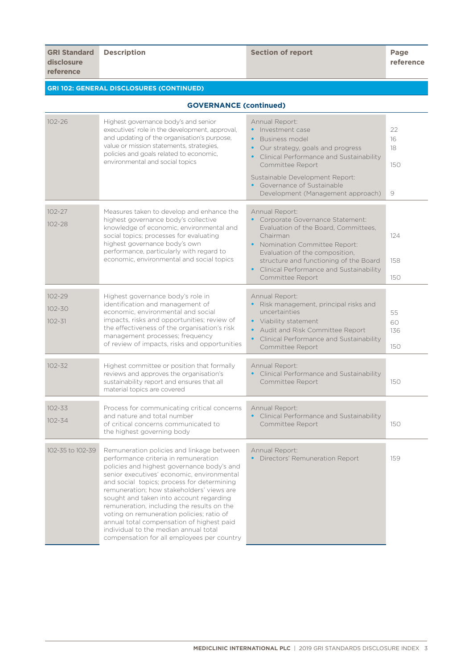**Description of report Page 2018** 

**reference**

## **GRI 102: GENERAL DISCLOSURES (CONTINUED)**

| <b>GOVERNANCE (continued)</b>          |                                                                                                                                                                                                                                                                                                                                                                                                                                                                                                                                                    |                                                                                                                                                                                                                                                                                       |                            |
|----------------------------------------|----------------------------------------------------------------------------------------------------------------------------------------------------------------------------------------------------------------------------------------------------------------------------------------------------------------------------------------------------------------------------------------------------------------------------------------------------------------------------------------------------------------------------------------------------|---------------------------------------------------------------------------------------------------------------------------------------------------------------------------------------------------------------------------------------------------------------------------------------|----------------------------|
| $102 - 26$                             | Highest governance body's and senior<br>executives' role in the development, approval,<br>and updating of the organisation's purpose,<br>value or mission statements, strategies,<br>policies and goals related to economic,<br>environmental and social topics                                                                                                                                                                                                                                                                                    | Annual Report:<br>Investment case<br>Business model<br>$\bullet$<br>Our strategy, goals and progress<br>$\bullet$<br>Clinical Performance and Sustainability<br>Committee Report<br>Sustainable Development Report:<br>Governance of Sustainable<br>Development (Management approach) | 22<br>16<br>18<br>150<br>9 |
| $102 - 27$<br>$102 - 28$               | Measures taken to develop and enhance the<br>highest governance body's collective<br>knowledge of economic, environmental and<br>social topics; processes for evaluating<br>highest governance body's own<br>performance, particularly with regard to<br>economic, environmental and social topics                                                                                                                                                                                                                                                 | Annual Report:<br>• Corporate Governance Statement:<br>Evaluation of the Board, Committees,<br>Chairman<br>Nomination Committee Report:<br>Evaluation of the composition,<br>structure and functioning of the Board<br>• Clinical Performance and Sustainability<br>Committee Report  | 124<br>158<br>150          |
| $102 - 29$<br>$102 - 30$<br>$102 - 31$ | Highest governance body's role in<br>identification and management of<br>economic, environmental and social<br>impacts, risks and opportunities; review of<br>the effectiveness of the organisation's risk<br>management processes; frequency<br>of review of impacts, risks and opportunities                                                                                                                                                                                                                                                     | Annual Report:<br>Risk management, principal risks and<br>uncertainties<br>• Viability statement<br>Audit and Risk Committee Report<br>Clinical Performance and Sustainability<br>$\bullet$<br>Committee Report                                                                       | 55<br>60<br>136<br>150     |
| $102 - 32$                             | Highest committee or position that formally<br>reviews and approves the organisation's<br>sustainability report and ensures that all<br>material topics are covered                                                                                                                                                                                                                                                                                                                                                                                | Annual Report:<br>Clinical Performance and Sustainability<br>Committee Report                                                                                                                                                                                                         | 150                        |
| $102 - 33$<br>$102 - 34$               | Process for communicating critical concerns<br>and nature and total number<br>of critical concerns communicated to<br>the highest governing body                                                                                                                                                                                                                                                                                                                                                                                                   | Annual Report:<br>Clinical Performance and Sustainability<br>Committee Report                                                                                                                                                                                                         | 150                        |
| 102-35 to 102-39                       | Remuneration policies and linkage between<br>performance criteria in remuneration<br>policies and highest governance body's and<br>senior executives' economic, environmental<br>and social topics; process for determining<br>remuneration; how stakeholders' views are<br>sought and taken into account regarding<br>remuneration, including the results on the<br>voting on remuneration policies; ratio of<br>annual total compensation of highest paid<br>individual to the median annual total<br>compensation for all employees per country | Annual Report:<br>Directors' Remuneration Report                                                                                                                                                                                                                                      | 159                        |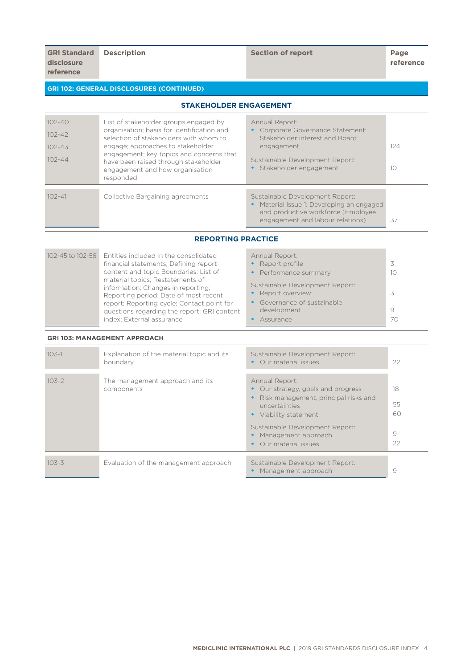## **GRI 102: GENERAL DISCLOSURES (CONTINUED)**

## **STAKEHOLDER ENGAGEMENT**

| $102 - 40$<br>$102 - 42$<br>$102 - 43$<br>$102 - 44$ | List of stakeholder groups engaged by<br>organisation; basis for identification and<br>selection of stakeholders with whom to<br>engage; approaches to stakeholder<br>engagement; key topics and concerns that<br>have been raised through stakeholder<br>engagement and how organisation<br>responded | Annual Report:<br>Corporate Governance Statement:<br>Stakeholder interest and Board<br>engagement<br>Sustainable Development Report:<br>• Stakeholder engagement | 124<br>10 |
|------------------------------------------------------|--------------------------------------------------------------------------------------------------------------------------------------------------------------------------------------------------------------------------------------------------------------------------------------------------------|------------------------------------------------------------------------------------------------------------------------------------------------------------------|-----------|
| $102 - 41$                                           | Collective Bargaining agreements                                                                                                                                                                                                                                                                       | Sustainable Development Report:<br>Material Issue 1: Developing an engaged<br>and productive workforce (Employee<br>engagement and labour relations)             | 37        |

**REPORTING PRACTICE**

| 102-45 to 102-56 | Entities included in the consolidated<br>financial statements; Defining report<br>content and topic Boundaries; List of<br>material topics; Restatements of                                           | Annual Report:<br>• Report profile<br>• Performance summary<br>Sustainable Development Report: | 10           |
|------------------|-------------------------------------------------------------------------------------------------------------------------------------------------------------------------------------------------------|------------------------------------------------------------------------------------------------|--------------|
|                  | information; Changes in reporting;<br>Reporting period; Date of most recent<br>report; Reporting cycle; Contact point for<br>questions regarding the report; GRI content<br>index; External assurance | • Report overview<br>• Governance of sustainable<br>development<br>Assurance                   | 3<br>9<br>70 |

#### **GRI 103: MANAGEMENT APPROACH**

| $103 - 1$ | Explanation of the material topic and its<br>boundary | Sustainable Development Report:<br>Our material issues<br>$\bullet$                                                                                                                                                                                                     | 22                        |
|-----------|-------------------------------------------------------|-------------------------------------------------------------------------------------------------------------------------------------------------------------------------------------------------------------------------------------------------------------------------|---------------------------|
| $103 - 2$ | The management approach and its<br>components         | Annual Report:<br>Our strategy, goals and progress<br>$\bullet$<br>Risk management, principal risks and<br>$\bullet$<br>uncertainties<br>Viability statement<br>$\bullet$<br>Sustainable Development Report:<br>Management approach<br>Our material issues<br>$\bullet$ | 18<br>55<br>60<br>9<br>22 |
| $103 - 3$ | Evaluation of the management approach                 | Sustainable Development Report:<br>Management approach<br>$\bullet$                                                                                                                                                                                                     | 9                         |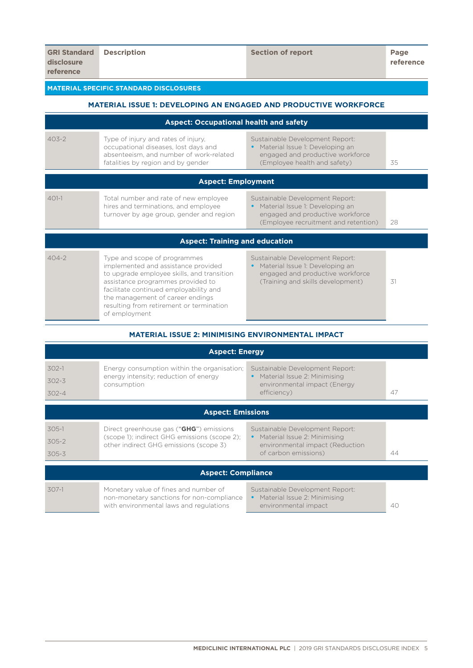## **MATERIAL SPECIFIC STANDARD DISCLOSURES**

# **MATERIAL ISSUE 1: DEVELOPING AN ENGAGED AND PRODUCTIVE WORKFORCE**

|           | <b>Aspect: Occupational health and safety</b>                                                                                                                                                                                                                                                     |                                                                                                                                                |    |
|-----------|---------------------------------------------------------------------------------------------------------------------------------------------------------------------------------------------------------------------------------------------------------------------------------------------------|------------------------------------------------------------------------------------------------------------------------------------------------|----|
| $403 - 2$ | Type of injury and rates of injury,<br>occupational diseases, lost days and<br>absenteeism, and number of work-related<br>fatalities by region and by gender                                                                                                                                      | Sustainable Development Report:<br>Material Issue 1: Developing an<br>engaged and productive workforce<br>(Employee health and safety)         | 35 |
|           | <b>Aspect: Employment</b>                                                                                                                                                                                                                                                                         |                                                                                                                                                |    |
| $401-1$   | Total number and rate of new employee<br>hires and terminations, and employee<br>turnover by age group, gender and region                                                                                                                                                                         | Sustainable Development Report:<br>Material Issue 1: Developing an<br>engaged and productive workforce<br>(Employee recruitment and retention) | 28 |
|           | <b>Aspect: Training and education</b>                                                                                                                                                                                                                                                             |                                                                                                                                                |    |
| $404-2$   | Type and scope of programmes<br>implemented and assistance provided<br>to upgrade employee skills, and transition<br>assistance programmes provided to<br>facilitate continued employability and<br>the management of career endings<br>resulting from retirement or termination<br>of employment | Sustainable Development Report:<br>Material Issue 1: Developing an<br>engaged and productive workforce<br>(Training and skills development)    | 31 |

#### **MATERIAL ISSUE 2: MINIMISING ENVIRONMENTAL IMPACT**

| <b>Aspect: Energy</b>    |                                                                                                                               |                                                                                           |    |
|--------------------------|-------------------------------------------------------------------------------------------------------------------------------|-------------------------------------------------------------------------------------------|----|
| $302 - 1$                | Energy consumption within the organisation;                                                                                   | Sustainable Development Report:                                                           |    |
| $302 - 3$                | energy intensity; reduction of energy<br>consumption                                                                          | Material Issue 2: Minimising<br>environmental impact (Energy                              |    |
| $302 - 4$                |                                                                                                                               | efficiency)                                                                               | 47 |
| <b>Aspect: Emissions</b> |                                                                                                                               |                                                                                           |    |
| $305-1$                  | Direct greenhouse gas ("GHG") emissions                                                                                       | Sustainable Development Report:                                                           |    |
| $305 - 2$                | (scope 1); indirect GHG emissions (scope 2);<br>other indirect GHG emissions (scope 3)                                        | Material Issue 2: Minimising<br>environmental impact (Reduction                           |    |
| $305 - 3$                |                                                                                                                               | of carbon emissions)                                                                      | 44 |
|                          | <b>Aspect: Compliance</b>                                                                                                     |                                                                                           |    |
|                          |                                                                                                                               |                                                                                           |    |
| $307-1$                  | Monetary value of fines and number of<br>non-monetary sanctions for non-compliance<br>with environmental laws and regulations | Sustainable Development Report:<br>• Material Issue 2: Minimising<br>environmental impact | 40 |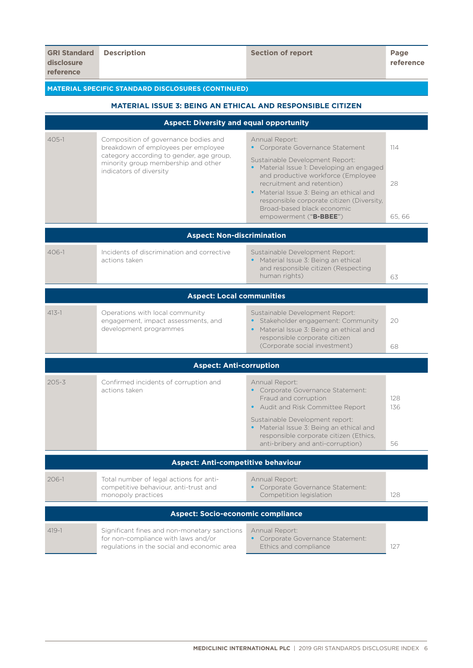# **MATERIAL SPECIFIC STANDARD DISCLOSURES (CONTINUED)**

| <b>MATERIAL ISSUE 3: BEING AN ETHICAL AND RESPONSIBLE CITIZEN</b> |                                                                                                                                                                |                                                                                                                                                              |            |
|-------------------------------------------------------------------|----------------------------------------------------------------------------------------------------------------------------------------------------------------|--------------------------------------------------------------------------------------------------------------------------------------------------------------|------------|
|                                                                   | <b>Aspect: Diversity and equal opportunity</b>                                                                                                                 |                                                                                                                                                              |            |
| $405 - 1$                                                         | Composition of governance bodies and<br>breakdown of employees per employee<br>category according to gender, age group,<br>minority group membership and other | Annual Report:<br>• Corporate Governance Statement<br>Sustainable Development Report:<br>Material Issue 1: Developing an engaged<br>$\bullet$                | 114        |
|                                                                   | indicators of diversity                                                                                                                                        | and productive workforce (Employee<br>recruitment and retention)<br>Material Issue 3: Being an ethical and<br>responsible corporate citizen (Diversity,      | 28         |
|                                                                   |                                                                                                                                                                | Broad-based black economic<br>empowerment ("B-BBEE")                                                                                                         | 65,66      |
|                                                                   | <b>Aspect: Non-discrimination</b>                                                                                                                              |                                                                                                                                                              |            |
| $406 - 1$                                                         | Incidents of discrimination and corrective<br>actions taken                                                                                                    | Sustainable Development Report:<br>Material Issue 3: Being an ethical<br>and responsible citizen (Respecting<br>human rights)                                | 63         |
|                                                                   |                                                                                                                                                                |                                                                                                                                                              |            |
|                                                                   | <b>Aspect: Local communities</b>                                                                                                                               |                                                                                                                                                              |            |
| $413 - 1$                                                         | Operations with local community<br>engagement, impact assessments, and<br>development programmes                                                               | Sustainable Development Report:<br>Stakeholder engagement: Community<br>Material Issue 3: Being an ethical and<br>$\bullet$<br>responsible corporate citizen | 20         |
|                                                                   |                                                                                                                                                                | (Corporate social investment)                                                                                                                                | 68         |
|                                                                   | <b>Aspect: Anti-corruption</b>                                                                                                                                 |                                                                                                                                                              |            |
| $205 - 3$                                                         | Confirmed incidents of corruption and<br>actions taken                                                                                                         | Annual Report:<br>Corporate Governance Statement:<br>Fraud and corruption<br>• Audit and Risk Committee Report                                               | 128<br>136 |
|                                                                   |                                                                                                                                                                | Sustainable Development report:<br>• Material Issue 3: Being an ethical and<br>responsible corporate citizen (Ethics,<br>anti-bribery and anti-corruption)   | 56         |
|                                                                   | <b>Aspect: Anti-competitive behaviour</b>                                                                                                                      |                                                                                                                                                              |            |
| $206 - 1$                                                         | Total number of legal actions for anti-<br>competitive behaviour, anti-trust and<br>monopoly practices                                                         | Annual Report:<br>Corporate Governance Statement:<br>Competition legislation                                                                                 | 128        |
|                                                                   | <b>Aspect: Socio-economic compliance</b>                                                                                                                       |                                                                                                                                                              |            |
| $419-1$                                                           | Significant fines and non-monetary sanctions<br>for non-compliance with laws and/or<br>regulations in the social and economic area                             | Annual Report:<br>Corporate Governance Statement:<br>$\bullet$<br>Ethics and compliance                                                                      | 127        |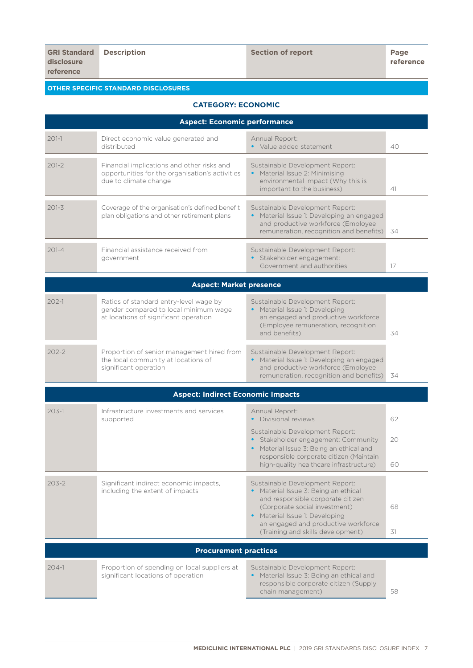## **OTHER SPECIFIC STANDARD DISCLOSURES**

## **CATEGORY: ECONOMIC**

| <b>Aspect: Economic performance</b> |                                                                                                                          |                                                                                                                                                                                                                                                             |          |
|-------------------------------------|--------------------------------------------------------------------------------------------------------------------------|-------------------------------------------------------------------------------------------------------------------------------------------------------------------------------------------------------------------------------------------------------------|----------|
| $201-1$                             | Direct economic value generated and<br>distributed                                                                       | Annual Report:<br>• Value added statement                                                                                                                                                                                                                   | 40       |
| $201 - 2$                           | Financial implications and other risks and<br>opportunities for the organisation's activities<br>due to climate change   | Sustainable Development Report:<br>• Material Issue 2: Minimising<br>environmental impact (Why this is<br>important to the business)                                                                                                                        | 41       |
| $201 - 3$                           | Coverage of the organisation's defined benefit<br>plan obligations and other retirement plans                            | Sustainable Development Report:<br>• Material Issue 1: Developing an engaged<br>and productive workforce (Employee<br>remuneration, recognition and benefits)                                                                                               | -34      |
| $201 - 4$                           | Financial assistance received from<br>government                                                                         | Sustainable Development Report:<br>· Stakeholder engagement:<br>Government and authorities                                                                                                                                                                  | 17       |
|                                     | <b>Aspect: Market presence</b>                                                                                           |                                                                                                                                                                                                                                                             |          |
| $202 - 1$                           | Ratios of standard entry-level wage by<br>gender compared to local minimum wage<br>at locations of significant operation | Sustainable Development Report:<br>• Material Issue 1: Developing<br>an engaged and productive workforce<br>(Employee remuneration, recognition<br>and benefits)                                                                                            | 34       |
| $202 - 2$                           | Proportion of senior management hired from<br>the local community at locations of<br>significant operation               | Sustainable Development Report:<br>Material Issue 1: Developing an engaged<br>and productive workforce (Employee<br>remuneration, recognition and benefits)                                                                                                 | 34       |
|                                     | <b>Aspect: Indirect Economic Impacts</b>                                                                                 |                                                                                                                                                                                                                                                             |          |
| $203 - 1$                           | Infrastructure investments and services<br>supported                                                                     | Annual Report:<br>Divisional reviews                                                                                                                                                                                                                        | 62       |
|                                     |                                                                                                                          | Sustainable Development Report:<br>Stakeholder engagement: Community<br>Material Issue 3: Being an ethical and<br>responsible corporate citizen (Maintain<br>high-quality healthcare infrastructure)                                                        | 20<br>60 |
| $203 - 2$                           | Significant indirect economic impacts,<br>including the extent of impacts                                                | Sustainable Development Report:<br>• Material Issue 3: Being an ethical<br>and responsible corporate citizen<br>(Corporate social investment)<br>• Material Issue 1: Developing<br>an engaged and productive workforce<br>(Training and skills development) | 68<br>31 |
|                                     | <b>Procurement practices</b>                                                                                             |                                                                                                                                                                                                                                                             |          |
| $204-1$                             | Proportion of spending on local suppliers at<br>significant locations of operation                                       | Sustainable Development Report:<br>Material Issue 3: Being an ethical and<br>responsible corporate citizen (Supply<br>chain management)                                                                                                                     | 58       |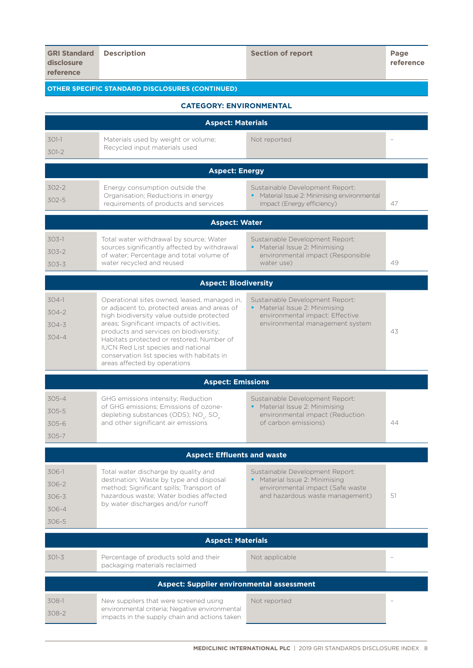| <b>GRI Standard</b><br>disclosure<br>reference   | <b>Description</b>                                                                                                                                                                                             | <b>Section of report</b>                                                 | Page<br>reference |  |
|--------------------------------------------------|----------------------------------------------------------------------------------------------------------------------------------------------------------------------------------------------------------------|--------------------------------------------------------------------------|-------------------|--|
|                                                  | <b>OTHER SPECIFIC STANDARD DISCLOSURES (CONTINUED)</b>                                                                                                                                                         |                                                                          |                   |  |
|                                                  | <b>CATEGORY: ENVIRONMENTAL</b>                                                                                                                                                                                 |                                                                          |                   |  |
|                                                  | <b>Aspect: Materials</b>                                                                                                                                                                                       |                                                                          |                   |  |
| $301-1$                                          | Materials used by weight or volume;                                                                                                                                                                            | Not reported                                                             |                   |  |
| $301 - 2$                                        | Recycled input materials used                                                                                                                                                                                  |                                                                          |                   |  |
|                                                  | <b>Aspect: Energy</b>                                                                                                                                                                                          |                                                                          |                   |  |
| 302-2                                            | Energy consumption outside the                                                                                                                                                                                 | Sustainable Development Report:                                          |                   |  |
| 302-5                                            | Organisation; Reductions in energy<br>requirements of products and services                                                                                                                                    | Material Issue 2: Minimising environmental<br>impact (Energy efficiency) | 47                |  |
|                                                  | <b>Aspect: Water</b>                                                                                                                                                                                           |                                                                          |                   |  |
| $303-1$                                          | Total water withdrawal by source; Water                                                                                                                                                                        | Sustainable Development Report:                                          |                   |  |
| $303 - 2$                                        | sources significantly affected by withdrawal<br>of water; Percentage and total volume of                                                                                                                       | • Material Issue 2: Minimising<br>environmental impact (Responsible      |                   |  |
| $303 - 3$                                        | water recycled and reused                                                                                                                                                                                      | water use)                                                               | 49                |  |
|                                                  | <b>Aspect: Biodiversity</b>                                                                                                                                                                                    |                                                                          |                   |  |
| $304-1$                                          | Operational sites owned, leased, managed in,                                                                                                                                                                   | Sustainable Development Report:                                          |                   |  |
| $304 - 2$                                        | or adjacent to, protected areas and areas of<br>high biodiversity value outside protected                                                                                                                      | • Material Issue 2: Minimising<br>environmental impact: Effective        |                   |  |
| $304 - 3$                                        | areas; Significant impacts of activities,                                                                                                                                                                      | environmental management system                                          |                   |  |
| $304 - 4$                                        | products and services on biodiversity;<br>Habitats protected or restored; Number of<br><b>IUCN Red List species and national</b><br>conservation list species with habitats in<br>areas affected by operations |                                                                          | 43                |  |
|                                                  | <b>Aspect: Emissions</b>                                                                                                                                                                                       |                                                                          |                   |  |
| 305-4                                            | GHG emissions intensity; Reduction                                                                                                                                                                             | Sustainable Development Report:                                          |                   |  |
| 305-5                                            | of GHG emissions; Emissions of ozone-<br>depleting substances (ODS); NO <sub>v</sub> , SO <sub>v</sub>                                                                                                         | Material Issue 2: Minimising<br>environmental impact (Reduction          |                   |  |
| $305 - 6$                                        | and other significant air emissions                                                                                                                                                                            | of carbon emissions)                                                     | 44                |  |
| 305-7                                            |                                                                                                                                                                                                                |                                                                          |                   |  |
|                                                  | <b>Aspect: Effluents and waste</b>                                                                                                                                                                             |                                                                          |                   |  |
| 306-1                                            | Total water discharge by quality and<br>destination; Waste by type and disposal                                                                                                                                | Sustainable Development Report:<br>Material Issue 2: Minimising          |                   |  |
| 306-2                                            | method; Significant spills; Transport of                                                                                                                                                                       | environmental impact (Safe waste                                         |                   |  |
| $306 - 3$                                        | hazardous waste; Water bodies affected<br>by water discharges and/or runoff                                                                                                                                    | and hazardous waste management)                                          | 51                |  |
| 306-4<br>306-5                                   |                                                                                                                                                                                                                |                                                                          |                   |  |
|                                                  | <b>Aspect: Materials</b>                                                                                                                                                                                       |                                                                          |                   |  |
|                                                  |                                                                                                                                                                                                                |                                                                          |                   |  |
| 301-3                                            | Percentage of products sold and their<br>packaging materials reclaimed                                                                                                                                         | Not applicable                                                           |                   |  |
| <b>Aspect: Supplier environmental assessment</b> |                                                                                                                                                                                                                |                                                                          |                   |  |
| 308-1                                            | New suppliers that were screened using                                                                                                                                                                         | Not reported                                                             |                   |  |
| 308-2                                            | environmental criteria; Negative environmental                                                                                                                                                                 |                                                                          |                   |  |

impacts in the supply chain and actions taken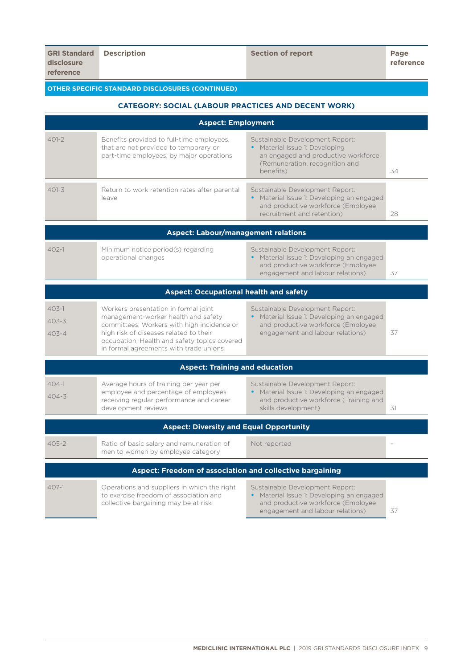## **OTHER SPECIFIC STANDARD DISCLOSURES (CONTINUED)**

## **CATEGORY: SOCIAL (LABOUR PRACTICES AND DECENT WORK)**

| <b>Aspect: Employment</b>                                |                                                                                                                                                                                                                                                               |                                                                                                                                                         |    |  |
|----------------------------------------------------------|---------------------------------------------------------------------------------------------------------------------------------------------------------------------------------------------------------------------------------------------------------------|---------------------------------------------------------------------------------------------------------------------------------------------------------|----|--|
| $401 - 2$                                                | Benefits provided to full-time employees,<br>that are not provided to temporary or<br>part-time employees, by major operations                                                                                                                                | Sustainable Development Report:<br>• Material Issue 1: Developing<br>an engaged and productive workforce<br>(Remuneration, recognition and<br>benefits) | 34 |  |
| $401 - 3$                                                | Return to work retention rates after parental<br>leave                                                                                                                                                                                                        | Sustainable Development Report:<br>• Material Issue 1: Developing an engaged<br>and productive workforce (Employee<br>recruitment and retention)        | 28 |  |
|                                                          | <b>Aspect: Labour/management relations</b>                                                                                                                                                                                                                    |                                                                                                                                                         |    |  |
| $402 - 1$                                                | Minimum notice period(s) regarding<br>operational changes                                                                                                                                                                                                     | Sustainable Development Report:<br>• Material Issue 1: Developing an engaged<br>and productive workforce (Employee<br>engagement and labour relations)  | 37 |  |
|                                                          | <b>Aspect: Occupational health and safety</b>                                                                                                                                                                                                                 |                                                                                                                                                         |    |  |
| $403 - 1$<br>$403 - 3$<br>$403 - 4$                      | Workers presentation in formal joint<br>management-worker health and safety<br>committees; Workers with high incidence or<br>high risk of diseases related to their<br>occupation; Health and safety topics covered<br>in formal agreements with trade unions | Sustainable Development Report:<br>• Material Issue 1: Developing an engaged<br>and productive workforce (Employee<br>engagement and labour relations)  | 37 |  |
|                                                          | <b>Aspect: Training and education</b>                                                                                                                                                                                                                         |                                                                                                                                                         |    |  |
| $404 - 1$<br>$404 - 3$                                   | Average hours of training per year per<br>employee and percentage of employees<br>receiving regular performance and career<br>development reviews                                                                                                             | Sustainable Development Report:<br>• Material Issue 1: Developing an engaged<br>and productive workforce (Training and<br>skills development)           | 31 |  |
|                                                          | <b>Aspect: Diversity and Equal Opportunity</b>                                                                                                                                                                                                                |                                                                                                                                                         |    |  |
| $405 - 2$                                                | Ratio of basic salary and remuneration of<br>men to women by employee category                                                                                                                                                                                | Not reported                                                                                                                                            |    |  |
| Aspect: Freedom of association and collective bargaining |                                                                                                                                                                                                                                                               |                                                                                                                                                         |    |  |
| $407-1$                                                  | Operations and suppliers in which the right<br>to exercise freedom of association and<br>collective bargaining may be at risk                                                                                                                                 | Sustainable Development Report:<br>• Material Issue 1: Developing an engaged<br>and productive workforce (Employee<br>engagement and labour relations)  | 37 |  |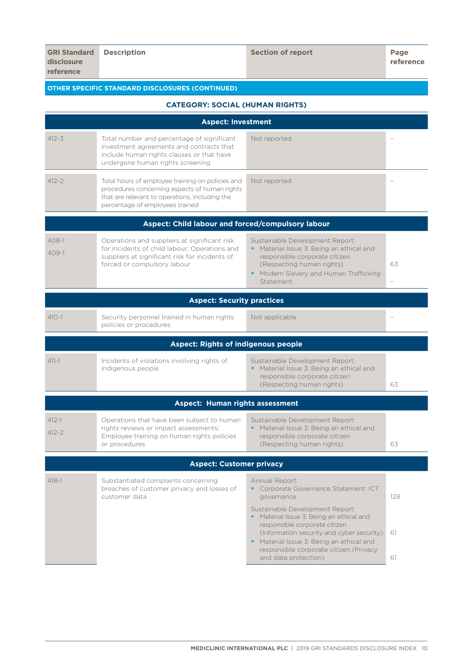## **OTHER SPECIFIC STANDARD DISCLOSURES (CONTINUED)**

## **CATEGORY: SOCIAL (HUMAN RIGHTS)**

| <b>Aspect: Investment</b>         |                                                                                                                                                                                        |                                                                                                                                                                                                                                                                                                                                                |                 |
|-----------------------------------|----------------------------------------------------------------------------------------------------------------------------------------------------------------------------------------|------------------------------------------------------------------------------------------------------------------------------------------------------------------------------------------------------------------------------------------------------------------------------------------------------------------------------------------------|-----------------|
| $412 - 3$                         | Total number and percentage of significant<br>investment agreements and contracts that<br>include human rights clauses or that have<br>undergone human rights screening                | Not reported                                                                                                                                                                                                                                                                                                                                   |                 |
| $412 - 2$                         | Total hours of employee training on policies and<br>procedures concerning aspects of human rights<br>that are relevant to operations, including the<br>percentage of employees trained | Not reported                                                                                                                                                                                                                                                                                                                                   |                 |
|                                   | Aspect: Child labour and forced/compulsory labour                                                                                                                                      |                                                                                                                                                                                                                                                                                                                                                |                 |
| $408-1$<br>$409-1$                | Operations and suppliers at significant risk<br>for incidents of child labour; Operations and<br>suppliers at significant risk for incidents of<br>forced or compulsory labour         | Sustainable Development Report:<br>Material Issue 3: Being an ethical and<br>$\bullet$<br>responsible corporate citizen<br>(Respecting human rights)<br>• Modern Slavery and Human Trafficking<br>Statement                                                                                                                                    | 63              |
| <b>Aspect: Security practices</b> |                                                                                                                                                                                        |                                                                                                                                                                                                                                                                                                                                                |                 |
| $410 - 1$                         | Security personnel trained in human rights<br>policies or procedures                                                                                                                   | Not applicable                                                                                                                                                                                                                                                                                                                                 |                 |
|                                   | <b>Aspect: Rights of indigenous people</b>                                                                                                                                             |                                                                                                                                                                                                                                                                                                                                                |                 |
| $411 - 1$                         | Incidents of violations involving rights of<br>indigenous people                                                                                                                       | Sustainable Development Report:<br>Material Issue 3: Being an ethical and<br>responsible corporate citizen<br>(Respecting human rights)                                                                                                                                                                                                        | 63              |
|                                   | <b>Aspect: Human rights assessment</b>                                                                                                                                                 |                                                                                                                                                                                                                                                                                                                                                |                 |
| $412 - 1$<br>$412 - 2$            | Operations that have been subject to human<br>rights reviews or impact assessments;<br>Employee training on human rights policies<br>or procedures                                     | Sustainable Development Report:<br>• Material Issue 3: Being an ethical and<br>responsible corporate citizen<br>(Respecting human rights)                                                                                                                                                                                                      | 63              |
| <b>Aspect: Customer privacy</b>   |                                                                                                                                                                                        |                                                                                                                                                                                                                                                                                                                                                |                 |
| $418 - 1$                         | Substantiated complaints concerning<br>breaches of customer privacy and losses of<br>customer data                                                                                     | Annual Report:<br>• Corporate Governance Statement: ICT<br>governance<br>Sustainable Development Report:<br>Material Issue 3: Being an ethical and<br>responsible corporate citizen<br>(Information security and cyber security)<br>• Material Issue 3: Being an ethical and<br>responsible corporate citizen (Privacy<br>and data protection) | 128<br>61<br>61 |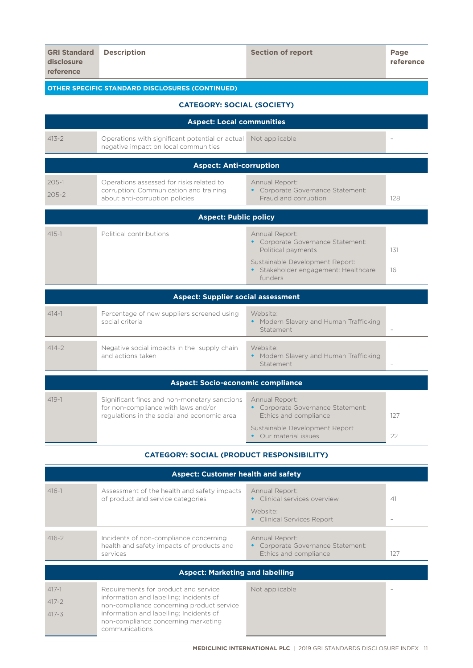| <b>GRI Standard</b><br>disclosure<br>reference   | <b>Description</b>                                                                                                                 | <b>Section of report</b>                                                                                                                | Page<br>reference |
|--------------------------------------------------|------------------------------------------------------------------------------------------------------------------------------------|-----------------------------------------------------------------------------------------------------------------------------------------|-------------------|
|                                                  | <b>OTHER SPECIFIC STANDARD DISCLOSURES (CONTINUED)</b>                                                                             |                                                                                                                                         |                   |
|                                                  | <b>CATEGORY: SOCIAL (SOCIETY)</b>                                                                                                  |                                                                                                                                         |                   |
|                                                  | <b>Aspect: Local communities</b>                                                                                                   |                                                                                                                                         |                   |
| $413 - 2$                                        | Operations with significant potential or actual<br>negative impact on local communities                                            | Not applicable                                                                                                                          |                   |
|                                                  | <b>Aspect: Anti-corruption</b>                                                                                                     |                                                                                                                                         |                   |
| $205 - 1$<br>$205 - 2$                           | Operations assessed for risks related to<br>corruption; Communication and training<br>about anti-corruption policies               | Annual Report:<br>• Corporate Governance Statement:<br>Fraud and corruption                                                             | 128               |
|                                                  | <b>Aspect: Public policy</b>                                                                                                       |                                                                                                                                         |                   |
| $415 - 1$                                        | Political contributions                                                                                                            | Annual Report:<br>• Corporate Governance Statement:<br>Political payments                                                               | 131               |
|                                                  |                                                                                                                                    | Sustainable Development Report:<br>Stakeholder engagement: Healthcare<br>funders                                                        | 16                |
|                                                  | <b>Aspect: Supplier social assessment</b>                                                                                          |                                                                                                                                         |                   |
| $414 - 1$                                        | Percentage of new suppliers screened using<br>social criteria                                                                      | Website:<br>Modern Slavery and Human Trafficking<br>Statement                                                                           |                   |
| $414 - 2$                                        | Negative social impacts in the supply chain<br>and actions taken                                                                   | Website:<br>• Modern Slavery and Human Trafficking<br>Statement                                                                         |                   |
|                                                  | <b>Aspect: Socio-economic compliance</b>                                                                                           |                                                                                                                                         |                   |
| $419 - 1$                                        | Significant fines and non-monetary sanctions<br>for non-compliance with laws and/or<br>regulations in the social and economic area | Annual Report:<br>• Corporate Governance Statement:<br>Ethics and compliance<br>Sustainable Development Report<br>• Our material issues | 127<br>22         |
| <b>CATEGORY: SOCIAL (PRODUCT RESPONSIBILITY)</b> |                                                                                                                                    |                                                                                                                                         |                   |

| <b>Aspect: Customer health and safety</b> |                                                                                                                                                                                                                                  |                                                                                             |     |
|-------------------------------------------|----------------------------------------------------------------------------------------------------------------------------------------------------------------------------------------------------------------------------------|---------------------------------------------------------------------------------------------|-----|
| $416 - 1$                                 | Assessment of the health and safety impacts<br>of product and service categories                                                                                                                                                 | Annual Report:<br>Clinical services overview<br>Website:<br><b>Clinical Services Report</b> | 41  |
| $416 - 2$                                 | Incidents of non-compliance concerning<br>health and safety impacts of products and<br>services                                                                                                                                  | Annual Report:<br>Corporate Governance Statement:<br>Ethics and compliance                  | 127 |
| <b>Aspect: Marketing and labelling</b>    |                                                                                                                                                                                                                                  |                                                                                             |     |
| $417 - 1$<br>$417 - 2$<br>$417 - 3$       | Requirements for product and service<br>information and labelling; Incidents of<br>non-compliance concerning product service<br>information and labelling; Incidents of<br>non-compliance concerning marketing<br>communications | Not applicable                                                                              |     |

<u> Hermann Hermann (</u>